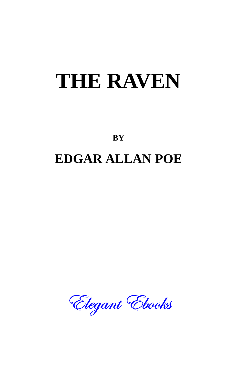# **THE RAVEN**

**BY** 

# **EDGAR ALLAN POE**

Elegant Ebooks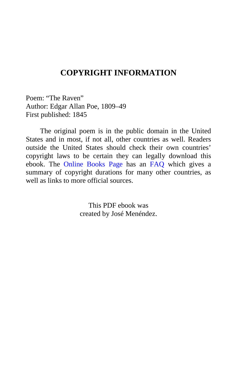## **COPYRIGHT INFORMATION**

Poem: "The Raven" Author: Edgar Allan Poe, 1809–49 First published: 1845

The original poem is in the public domain in the United States and in most, if not all, other countries as well. Readers outside the United States should check their own countries' copyright laws to be certain they can legally download this ebook. The [Online Books Page](http://onlinebooks.library.upenn.edu/) has an [FAQ](http://onlinebooks.library.upenn.edu/okbooks.html) which gives a summary of copyright durations for many other countries, as well as links to more official sources.

> This PDF ebook was created by José Menéndez.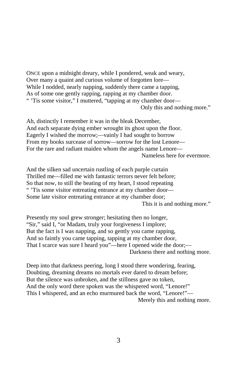ONCE upon a midnight dreary, while I pondered, weak and weary, Over many a quaint and curious volume of forgotten lore— While I nodded, nearly napping, suddenly there came a tapping, As of some one gently rapping, rapping at my chamber door. " 'Tis some visitor," I muttered, "tapping at my chamber door— Only this and nothing more."

Ah, distinctly I remember it was in the bleak December, And each separate dying ember wrought its ghost upon the floor. Eagerly I wished the morrow;—vainly I had sought to borrow From my books surcease of sorrow—sorrow for the lost Lenore— For the rare and radiant maiden whom the angels name Lenore— Nameless here for evermore.

And the silken sad uncertain rustling of each purple curtain Thrilled me—filled me with fantastic terrors never felt before; So that now, to still the beating of my heart, I stood repeating " 'Tis some visitor entreating entrance at my chamber door— Some late visitor entreating entrance at my chamber door; This it is and nothing more."

Presently my soul grew stronger; hesitating then no longer, "Sir," said I, "or Madam, truly your forgiveness I implore; But the fact is I was napping, and so gently you came rapping, And so faintly you came tapping, tapping at my chamber door, That I scarce was sure I heard you"—here I opened wide the door;— Darkness there and nothing more.

Deep into that darkness peering, long I stood there wondering, fearing, Doubting, dreaming dreams no mortals ever dared to dream before; But the silence was unbroken, and the stillness gave no token, And the only word there spoken was the whispered word, "Lenore!" This I whispered, and an echo murmured back the word, "Lenore!"— Merely this and nothing more.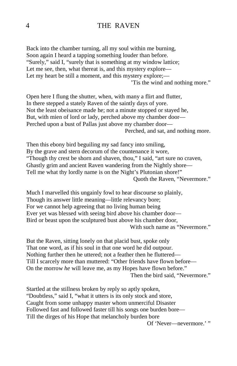#### 4 THE RAVEN

Back into the chamber turning, all my soul within me burning, Soon again I heard a tapping something louder than before. "Surely," said I, "surely that is something at my window lattice; Let me see, then, what thereat is, and this mystery explore— Let my heart be still a moment, and this mystery explore;— 'Tis the wind and nothing more."

Open here I flung the shutter, when, with many a flirt and flutter, In there stepped a stately Raven of the saintly days of yore. Not the least obeisance made he; not a minute stopped or stayed he, But, with mien of lord or lady, perched above my chamber door— Perched upon a bust of Pallas just above my chamber door— Perched, and sat, and nothing more.

Then this ebony bird beguiling my sad fancy into smiling, By the grave and stern decorum of the countenance it wore, "Though thy crest be shorn and shaven, thou," I said, "art sure no craven, Ghastly grim and ancient Raven wandering from the Nightly shore— Tell me what thy lordly name is on the Night's Plutonian shore!" Quoth the Raven, "Nevermore."

Much I marvelled this ungainly fowl to hear discourse so plainly, Though its answer little meaning—little relevancy bore; For we cannot help agreeing that no living human being Ever yet was blessed with seeing bird above his chamber door— Bird or beast upon the sculptured bust above his chamber door, With such name as "Nevermore."

But the Raven, sitting lonely on that placid bust, spoke only That one word, as if his soul in that one word he did outpour. Nothing further then he uttered; not a feather then he fluttered— Till I scarcely more than muttered: "Other friends have flown before— On the morrow *he* will leave me, as my Hopes have flown before." Then the bird said, "Nevermore."

Startled at the stillness broken by reply so aptly spoken, "Doubtless," said I, "what it utters is its only stock and store, Caught from some unhappy master whom unmerciful Disaster Followed fast and followed faster till his songs one burden bore— Till the dirges of his Hope that melancholy burden bore

Of 'Never—nevermore.' "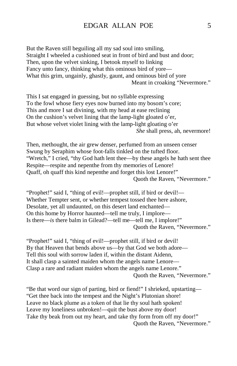#### EDGAR ALLAN POE 5

But the Raven still beguiling all my sad soul into smiling, Straight I wheeled a cushioned seat in front of bird and bust and door; Then, upon the velvet sinking, I betook myself to linking Fancy unto fancy, thinking what this ominous bird of yore— What this grim, ungainly, ghastly, gaunt, and ominous bird of yore Meant in croaking "Nevermore."

This I sat engaged in guessing, but no syllable expressing To the fowl whose fiery eyes now burned into my bosom's core; This and more I sat divining, with my head at ease reclining On the cushion's velvet lining that the lamp-light gloated o'er, But whose velvet violet lining with the lamp-light gloating o'er *She* shall press, ah, nevermore!

Then, methought, the air grew denser, perfumed from an unseen censer Swung by Seraphim whose foot-falls tinkled on the tufted floor. "Wretch," I cried, "thy God hath lent thee—by these angels he hath sent thee Respite—respite and nepenthe from thy memories of Lenore! Quaff, oh quaff this kind nepenthe and forget this lost Lenore!" Quoth the Raven, "Nevermore."

"Prophet!" said I, "thing of evil!—prophet still, if bird or devil!— Whether Tempter sent, or whether tempest tossed thee here ashore, Desolate, yet all undaunted, on this desert land enchanted— On this home by Horror haunted—tell me truly, I implore— Is there—*is* there balm in Gilead?—tell me—tell me, I implore!" Quoth the Raven, "Nevermore."

"Prophet!" said I, "thing of evil!—prophet still, if bird or devil! By that Heaven that bends above us—by that God we both adore— Tell this soul with sorrow laden if, within the distant Aidenn, It shall clasp a sainted maiden whom the angels name Lenore— Clasp a rare and radiant maiden whom the angels name Lenore." Quoth the Raven, "Nevermore."

"Be that word our sign of parting, bird or fiend!" I shrieked, upstarting— "Get thee back into the tempest and the Night's Plutonian shore! Leave no black plume as a token of that lie thy soul hath spoken! Leave my loneliness unbroken!—quit the bust above my door! Take thy beak from out my heart, and take thy form from off my door!" Quoth the Raven, "Nevermore."